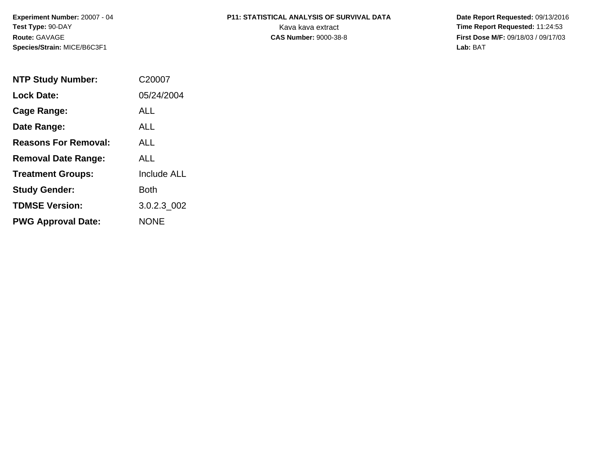**Experiment Number:** 20007 - 04**Test Type:** 90-DAY**Route:** GAVAGE**Species/Strain:** MICE/B6C3F1

# **P11: STATISTICAL ANALYSIS OF SURVIVAL DATA**

 **Date Report Requested:** 09/13/2016 Kava kava extract **Time Report Requested:** 11:24:53<br>**CAS Number:** 9000-38-8 **Time Report Requested:** 11:24:53 **First Dose M/F:** 09/18/03 / 09/17/03<br>Lab: BAT **Lab:** BAT

| <b>NTP Study Number:</b>    | C <sub>2000</sub> 7 |
|-----------------------------|---------------------|
| <b>Lock Date:</b>           | 05/24/2004          |
| Cage Range:                 | ALL                 |
| Date Range:                 | ALL.                |
| <b>Reasons For Removal:</b> | ALL.                |
| <b>Removal Date Range:</b>  | ALL                 |
| <b>Treatment Groups:</b>    | <b>Include ALL</b>  |
| <b>Study Gender:</b>        | Both                |
| <b>TDMSE Version:</b>       | 3.0.2.3 002         |
| <b>PWG Approval Date:</b>   | <b>NONE</b>         |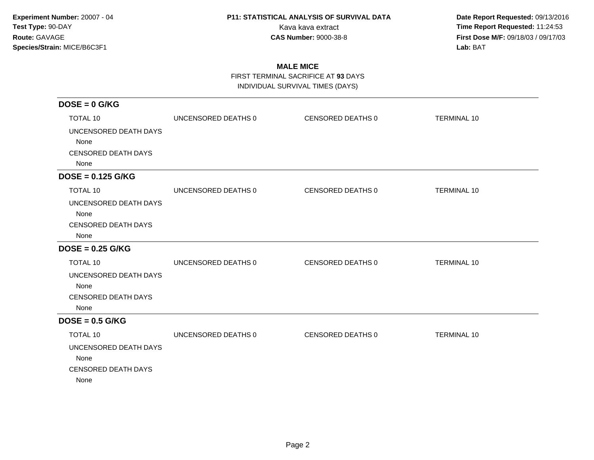**Date Report Requested:** 09/13/2016 Kava kava extract **Time Report Requested:** 11:24:53<br>**CAS Number:** 9000-38-8 **Time Report Requested:** 11:24:53 **First Dose M/F:** 09/18/03 / 09/17/03<br>Lab: BAT **Lab:** BAT

### **MALE MICE**

FIRST TERMINAL SACRIFICE AT **93** DAYS

INDIVIDUAL SURVIVAL TIMES (DAYS)

| $DOSE = 0$ G/KG            |                     |                   |                    |
|----------------------------|---------------------|-------------------|--------------------|
| <b>TOTAL 10</b>            | UNCENSORED DEATHS 0 | CENSORED DEATHS 0 | <b>TERMINAL 10</b> |
| UNCENSORED DEATH DAYS      |                     |                   |                    |
| None                       |                     |                   |                    |
| <b>CENSORED DEATH DAYS</b> |                     |                   |                    |
| None                       |                     |                   |                    |
| $DOSE = 0.125$ G/KG        |                     |                   |                    |
| <b>TOTAL 10</b>            | UNCENSORED DEATHS 0 | CENSORED DEATHS 0 | <b>TERMINAL 10</b> |
| UNCENSORED DEATH DAYS      |                     |                   |                    |
| None                       |                     |                   |                    |
| <b>CENSORED DEATH DAYS</b> |                     |                   |                    |
| None                       |                     |                   |                    |
| $DOSE = 0.25$ G/KG         |                     |                   |                    |
| <b>TOTAL 10</b>            | UNCENSORED DEATHS 0 | CENSORED DEATHS 0 | <b>TERMINAL 10</b> |
| UNCENSORED DEATH DAYS      |                     |                   |                    |
| None                       |                     |                   |                    |
| <b>CENSORED DEATH DAYS</b> |                     |                   |                    |
| None                       |                     |                   |                    |
| $DOSE = 0.5$ G/KG          |                     |                   |                    |
| <b>TOTAL 10</b>            | UNCENSORED DEATHS 0 | CENSORED DEATHS 0 | <b>TERMINAL 10</b> |
| UNCENSORED DEATH DAYS      |                     |                   |                    |
| None                       |                     |                   |                    |
| <b>CENSORED DEATH DAYS</b> |                     |                   |                    |
| None                       |                     |                   |                    |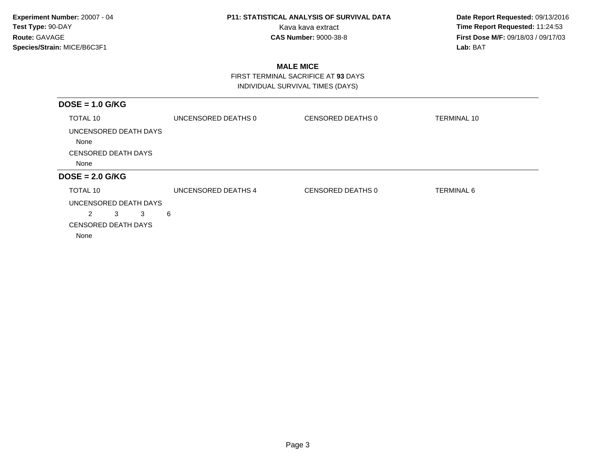**Date Report Requested:** 09/13/2016 Kava kava extract **Time Report Requested:** 11:24:53<br>**CAS Number:** 9000-38-8 **Time Report Requested:** 11:24:53 **First Dose M/F:** 09/18/03 / 09/17/03<br>Lab: BAT **Lab:** BAT

### **MALE MICE**

 FIRST TERMINAL SACRIFICE AT **93** DAYSINDIVIDUAL SURVIVAL TIMES (DAYS)

| $DOSE = 1.0$ G/KG             |                     |                   |                    |
|-------------------------------|---------------------|-------------------|--------------------|
| TOTAL 10                      | UNCENSORED DEATHS 0 | CENSORED DEATHS 0 | <b>TERMINAL 10</b> |
| UNCENSORED DEATH DAYS<br>None |                     |                   |                    |
| <b>CENSORED DEATH DAYS</b>    |                     |                   |                    |
| None                          |                     |                   |                    |
| $DOSE = 2.0$ G/KG             |                     |                   |                    |
| TOTAL 10                      | UNCENSORED DEATHS 4 | CENSORED DEATHS 0 | <b>TERMINAL 6</b>  |
| UNCENSORED DEATH DAYS         |                     |                   |                    |
| $\overline{2}$<br>3<br>3      | 6                   |                   |                    |
| <b>CENSORED DEATH DAYS</b>    |                     |                   |                    |
| None                          |                     |                   |                    |
|                               |                     |                   |                    |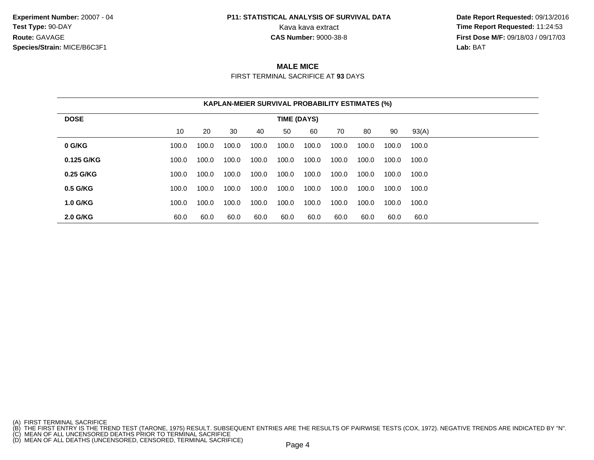**Experiment Number:** 20007 - 04**Test Type:** 90-DAY**Route:** GAVAGE**Species/Strain:** MICE/B6C3F1

## **P11: STATISTICAL ANALYSIS OF SURVIVAL DATA**

 **Date Report Requested:** 09/13/2016 Kava kava extract **Time Report Requested:** 11:24:53<br>**CAS Number:** 9000-38-8 **Time Report Requested:** 11:24:53 **First Dose M/F:** 09/18/03 / 09/17/03<br>**Lab:** BAT **Lab:** BAT

#### **MALE MICE**

FIRST TERMINAL SACRIFICE AT **93** DAYS

| <b>KAPLAN-MEIER SURVIVAL PROBABILITY ESTIMATES (%)</b> |             |       |       |       |       |       |       |       |       |       |
|--------------------------------------------------------|-------------|-------|-------|-------|-------|-------|-------|-------|-------|-------|
| <b>DOSE</b>                                            | TIME (DAYS) |       |       |       |       |       |       |       |       |       |
|                                                        | 10          | 20    | 30    | 40    | 50    | 60    | 70    | 80    | 90    | 93(A) |
| 0 G/KG                                                 | 100.0       | 100.0 | 100.0 | 100.0 | 100.0 | 100.0 | 100.0 | 100.0 | 100.0 | 100.0 |
| 0.125 G/KG                                             | 100.0       | 100.0 | 100.0 | 100.0 | 100.0 | 100.0 | 100.0 | 100.0 | 100.0 | 100.0 |
| 0.25 G/KG                                              | 100.0       | 100.0 | 100.0 | 100.0 | 100.0 | 100.0 | 100.0 | 100.0 | 100.0 | 100.0 |
| 0.5 G/KG                                               | 100.0       | 100.0 | 100.0 | 100.0 | 100.0 | 100.0 | 100.0 | 100.0 | 100.0 | 100.0 |
| <b>1.0 G/KG</b>                                        | 100.0       | 100.0 | 100.0 | 100.0 | 100.0 | 100.0 | 100.0 | 100.0 | 100.0 | 100.0 |
| 2.0 G/KG                                               | 60.0        | 60.0  | 60.0  | 60.0  | 60.0  | 60.0  | 60.0  | 60.0  | 60.0  | 60.0  |

<sup>(</sup>A) FIRST TERMINAL SACRIFICE<br>(B) THE FIRST ENTRY IS THE TREND TEST (TARONE, 1975) RESULT. SUBSEQUENT ENTRIES ARE THE RESULTS OF PAIRWISE TESTS (COX, 1972). NEGATIVE TRENDS ARE INDICATED BY "N".<br>(C) MEAN OF ALL UNCENSORED D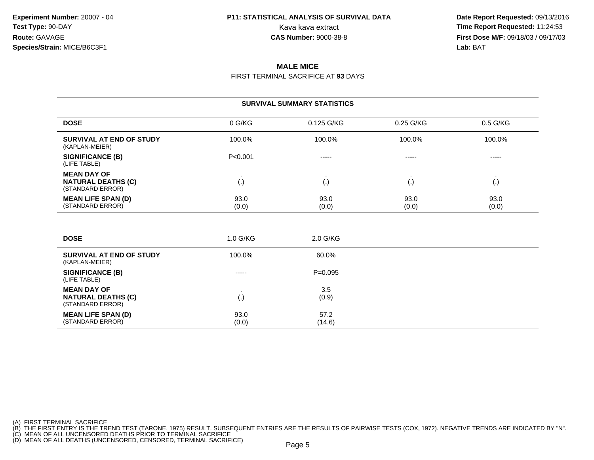**Date Report Requested:** 09/13/2016 Kava kava extract **Time Report Requested:** 11:24:53<br>**CAS Number:** 9000-38-8 **Time Report Requested:** 11:24:53 **First Dose M/F:** 09/18/03 / 09/17/03<br>**Lab:** BAT **Lab:** BAT

#### **MALE MICE**

FIRST TERMINAL SACRIFICE AT **93** DAYS

| <b>SURVIVAL SUMMARY STATISTICS</b>                                  |                    |               |               |                    |  |  |
|---------------------------------------------------------------------|--------------------|---------------|---------------|--------------------|--|--|
| <b>DOSE</b>                                                         | 0 G/KG             | 0.125 G/KG    | 0.25 G/KG     | $0.5$ G/KG         |  |  |
| SURVIVAL AT END OF STUDY<br>(KAPLAN-MEIER)                          | 100.0%             | 100.0%        | 100.0%        | 100.0%             |  |  |
| <b>SIGNIFICANCE (B)</b><br>(LIFE TABLE)                             | P < 0.001          | -----         | -----         | -----              |  |  |
| <b>MEAN DAY OF</b><br><b>NATURAL DEATHS (C)</b><br>(STANDARD ERROR) | $\left( . \right)$ | (.,           | ι٠.           | $\left( . \right)$ |  |  |
| <b>MEAN LIFE SPAN (D)</b><br>(STANDARD ERROR)                       | 93.0<br>(0.0)      | 93.0<br>(0.0) | 93.0<br>(0.0) | 93.0<br>(0.0)      |  |  |

| <b>DOSE</b>                                                         | $1.0$ G/KG    | 2.0 G/KG       |  |
|---------------------------------------------------------------------|---------------|----------------|--|
| SURVIVAL AT END OF STUDY<br>(KAPLAN-MEIER)                          | 100.0%        | 60.0%          |  |
| SIGNIFICANCE (B)<br>(LIFE TABLE)                                    | $- - - - -$   | $P=0.095$      |  |
| <b>MEAN DAY OF</b><br><b>NATURAL DEATHS (C)</b><br>(STANDARD ERROR) | ر - با        | 3.5<br>(0.9)   |  |
| <b>MEAN LIFE SPAN (D)</b><br>(STANDARD ERROR)                       | 93.0<br>(0.0) | 57.2<br>(14.6) |  |

(A) FIRST TERMINAL SACRIFICE<br>(B) THE FIRST ENTRY IS THE TREND TEST (TARONE, 1975) RESULT. SUBSEQUENT ENTRIES ARE THE RESULTS OF PAIRWISE TESTS (COX, 1972). NEGATIVE TRENDS ARE INDICATED BY "N".<br>(C) MEAN OF ALL UNCENSORED D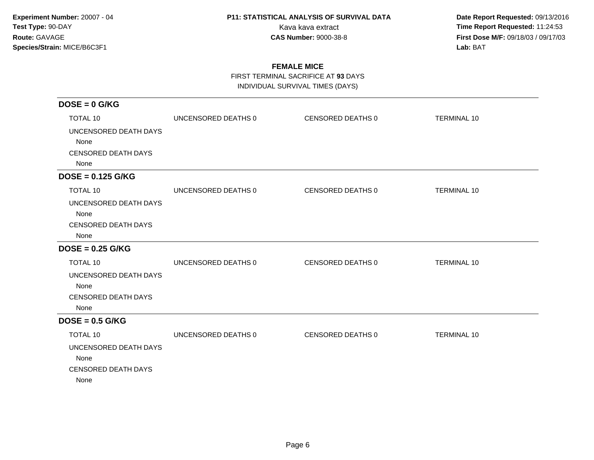**Date Report Requested:** 09/13/2016 Kava kava extract **Time Report Requested:** 11:24:53<br>**CAS Number:** 9000-38-8 **Time Report Requested:** 11:24:53 **First Dose M/F:** 09/18/03 / 09/17/03<br>Lab: BAT **Lab:** BAT

### **FEMALE MICE**

FIRST TERMINAL SACRIFICE AT **93** DAYS

INDIVIDUAL SURVIVAL TIMES (DAYS)

| $DOSE = 0$ G/KG            |                     |                   |                    |
|----------------------------|---------------------|-------------------|--------------------|
| <b>TOTAL 10</b>            | UNCENSORED DEATHS 0 | CENSORED DEATHS 0 | <b>TERMINAL 10</b> |
| UNCENSORED DEATH DAYS      |                     |                   |                    |
| None                       |                     |                   |                    |
| <b>CENSORED DEATH DAYS</b> |                     |                   |                    |
| None                       |                     |                   |                    |
| $DOSE = 0.125$ G/KG        |                     |                   |                    |
| <b>TOTAL 10</b>            | UNCENSORED DEATHS 0 | CENSORED DEATHS 0 | <b>TERMINAL 10</b> |
| UNCENSORED DEATH DAYS      |                     |                   |                    |
| None                       |                     |                   |                    |
| <b>CENSORED DEATH DAYS</b> |                     |                   |                    |
| None                       |                     |                   |                    |
| $DOSE = 0.25$ G/KG         |                     |                   |                    |
| <b>TOTAL 10</b>            | UNCENSORED DEATHS 0 | CENSORED DEATHS 0 | <b>TERMINAL 10</b> |
| UNCENSORED DEATH DAYS      |                     |                   |                    |
| None                       |                     |                   |                    |
| <b>CENSORED DEATH DAYS</b> |                     |                   |                    |
| None                       |                     |                   |                    |
| $DOSE = 0.5$ G/KG          |                     |                   |                    |
| <b>TOTAL 10</b>            | UNCENSORED DEATHS 0 | CENSORED DEATHS 0 | <b>TERMINAL 10</b> |
| UNCENSORED DEATH DAYS      |                     |                   |                    |
| None                       |                     |                   |                    |
| <b>CENSORED DEATH DAYS</b> |                     |                   |                    |
| None                       |                     |                   |                    |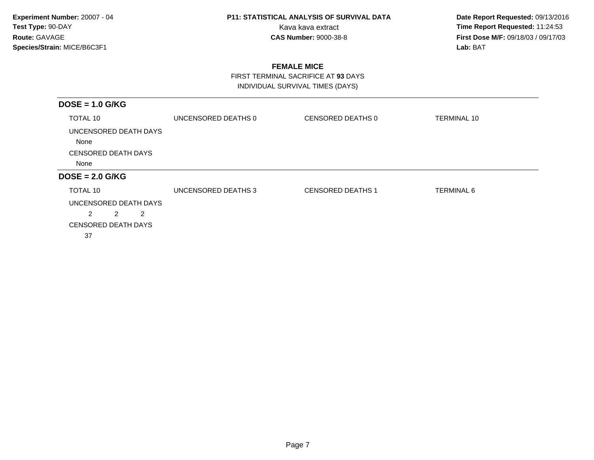**Date Report Requested:** 09/13/2016 Kava kava extract **Time Report Requested:** 11:24:53<br>**CAS Number:** 9000-38-8 **Time Report Requested:** 11:24:53 **First Dose M/F:** 09/18/03 / 09/17/03<br>Lab: BAT **Lab:** BAT

### **FEMALE MICE**

 FIRST TERMINAL SACRIFICE AT **93** DAYSINDIVIDUAL SURVIVAL TIMES (DAYS)

| $DOSE = 1.0$ G/KG             |                     |                          |                    |
|-------------------------------|---------------------|--------------------------|--------------------|
| TOTAL 10                      | UNCENSORED DEATHS 0 | CENSORED DEATHS 0        | <b>TERMINAL 10</b> |
| UNCENSORED DEATH DAYS<br>None |                     |                          |                    |
| <b>CENSORED DEATH DAYS</b>    |                     |                          |                    |
| None                          |                     |                          |                    |
| $DOSE = 2.0$ G/KG             |                     |                          |                    |
| TOTAL 10                      | UNCENSORED DEATHS 3 | <b>CENSORED DEATHS 1</b> | <b>TERMINAL 6</b>  |
|                               |                     |                          |                    |
| UNCENSORED DEATH DAYS         |                     |                          |                    |
| $\overline{2}$<br>2<br>2      |                     |                          |                    |
| <b>CENSORED DEATH DAYS</b>    |                     |                          |                    |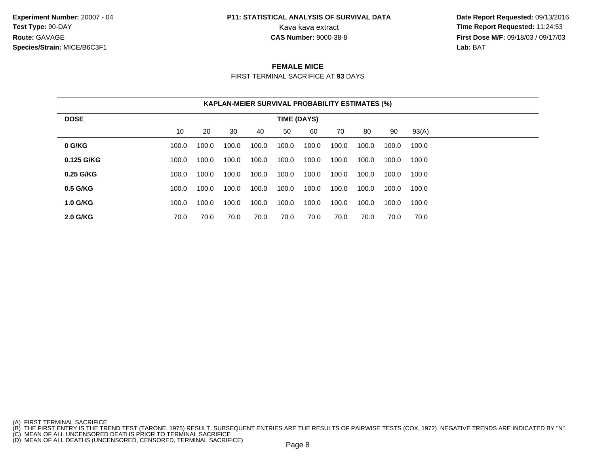**Experiment Number:** 20007 - 04**Test Type:** 90-DAY**Route:** GAVAGE**Species/Strain:** MICE/B6C3F1

## **P11: STATISTICAL ANALYSIS OF SURVIVAL DATA**

 **Date Report Requested:** 09/13/2016 Kava kava extract **Time Report Requested:** 11:24:53<br>**CAS Number:** 9000-38-8 **Time Report Requested:** 11:24:53 **First Dose M/F:** 09/18/03 / 09/17/03<br>**Lab:** BAT **Lab:** BAT

#### **FEMALE MICE**

FIRST TERMINAL SACRIFICE AT **93** DAYS

|                 | <b>KAPLAN-MEIER SURVIVAL PROBABILITY ESTIMATES (%)</b> |             |       |       |       |       |       |       |       |       |  |
|-----------------|--------------------------------------------------------|-------------|-------|-------|-------|-------|-------|-------|-------|-------|--|
| <b>DOSE</b>     |                                                        | TIME (DAYS) |       |       |       |       |       |       |       |       |  |
|                 | 10                                                     | 20          | 30    | 40    | 50    | 60    | 70    | 80    | 90    | 93(A) |  |
| 0 G/KG          | 100.0                                                  | 100.0       | 100.0 | 100.0 | 100.0 | 100.0 | 100.0 | 100.0 | 100.0 | 100.0 |  |
| 0.125 G/KG      | 100.0                                                  | 100.0       | 100.0 | 100.0 | 100.0 | 100.0 | 100.0 | 100.0 | 100.0 | 100.0 |  |
| 0.25 G/KG       | 100.0                                                  | 100.0       | 100.0 | 100.0 | 100.0 | 100.0 | 100.0 | 100.0 | 100.0 | 100.0 |  |
| 0.5 G/KG        | 100.0                                                  | 100.0       | 100.0 | 100.0 | 100.0 | 100.0 | 100.0 | 100.0 | 100.0 | 100.0 |  |
| <b>1.0 G/KG</b> | 100.0                                                  | 100.0       | 100.0 | 100.0 | 100.0 | 100.0 | 100.0 | 100.0 | 100.0 | 100.0 |  |
| <b>2.0 G/KG</b> | 70.0                                                   | 70.0        | 70.0  | 70.0  | 70.0  | 70.0  | 70.0  | 70.0  | 70.0  | 70.0  |  |

<sup>(</sup>A) FIRST TERMINAL SACRIFICE<br>(B) THE FIRST ENTRY IS THE TREND TEST (TARONE, 1975) RESULT. SUBSEQUENT ENTRIES ARE THE RESULTS OF PAIRWISE TESTS (COX, 1972). NEGATIVE TRENDS ARE INDICATED BY "N".<br>(C) MEAN OF ALL UNCENSORED D